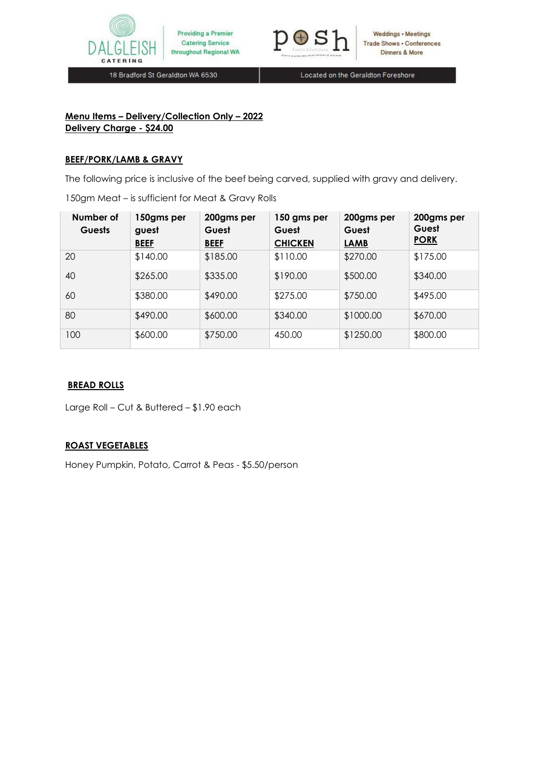

Providing a Premier **Catering Service** throughout Regional WA



18 Bradford St Geraldton WA 6530

Located on the Geraldton Foreshore

#### **Menu Items – Delivery/Collection Only – 2022 Delivery Charge - \$24.00**

## **BEEF/PORK/LAMB & GRAVY**

The following price is inclusive of the beef being carved, supplied with gravy and delivery.

150gm Meat – is sufficient for Meat & Gravy Rolls

| Number of<br><b>Guests</b> | 150gms per<br>guest<br><b>BEEF</b> | 200gms per<br>Guest<br><b>BEEF</b> | 150 gms per<br>Guest<br><b>CHICKEN</b> | 200gms per<br>Guest<br><b>LAMB</b> | 200gms per<br>Guest<br><b>PORK</b> |
|----------------------------|------------------------------------|------------------------------------|----------------------------------------|------------------------------------|------------------------------------|
| 20                         | \$140.00                           | \$185.00                           | \$110.00                               | \$270.00                           | \$175.00                           |
| 40                         | \$265.00                           | \$335.00                           | \$190.00                               | \$500.00                           | \$340.00                           |
| 60                         | \$380.00                           | \$490.00                           | \$275.00                               | \$750.00                           | \$495.00                           |
| 80                         | \$490.00                           | \$600.00                           | \$340.00                               | \$1000.00                          | \$670.00                           |
| 100                        | \$600.00                           | \$750.00                           | 450.00                                 | \$1250.00                          | \$800.00                           |

## **BREAD ROLLS**

Large Roll – Cut & Buttered – \$1.90 each

# **ROAST VEGETABLES**

Honey Pumpkin, Potato, Carrot & Peas - \$5.50/person